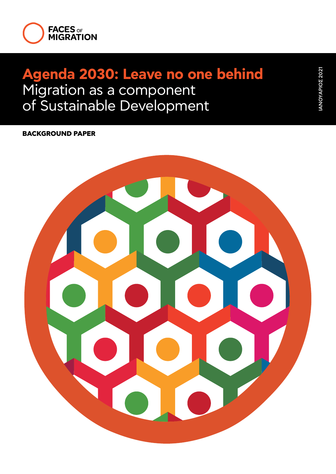

# **Agenda 2030: Leave no one behind**  Migration as a component of Sustainable Development

## **BACKGROUND PAPER**

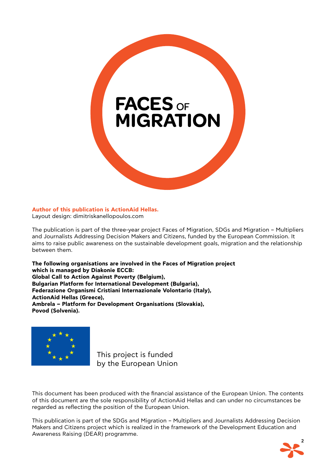

#### **Author of this publication is ActionAid Hellas.**

Layout design: dimitriskanellopoulos.com

The publication is part of the three-year project Faces of Migration, SDGs and Migration – Multipliers and Journalists Addressing Decision Makers and Citizens, funded by the European Commission. It aims to raise public awareness on the sustainable development goals, migration and the relationship between them.

**The following organisations are involved in the Faces of Migration project which is managed by Diakonie ECCB: Global Call to Action Against Poverty (Belgium), Bulgarian Platform for International Development (Bulgaria), Federazione Organismi Cristiani Internazionale Volontario (Italy), ActionAid Hellas (Greece), Ambrela – Platform for Development Organisations (Slovakia), Povod (Solvenia).**



This project is funded by the European Union

This document has been produced with the financial assistance of the European Union. The contents of this document are the sole responsibility of ActionAid Hellas and can under no circumstances be regarded as reflecting the position of the European Union.

This publication is part of the SDGs and Migration – Multipliers and Journalists Addressing Decision Makers and Citizens project which is realized in the framework of the Development Education and Awareness Raising (DEAR) programme.

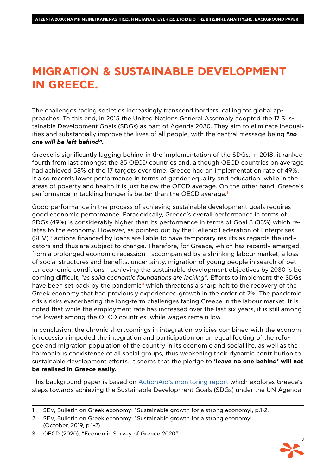## **MIGRATION & SUSTAINABLE DEVELOPMENT IN GREECE.**

The challenges facing societies increasingly transcend borders, calling for global approaches. To this end, in 2015 the United Nations General Assembly adopted the 17 Sustainable Development Goals (SDGs) as part of Agenda 2030. They aim to eliminate inequalities and substantially improve the lives of all people, with the central message being *"no one will be left behind".*

Greece is significantly lagging behind in the implementation of the SDGs. In 2018, it ranked fourth from last amongst the 35 OECD countries and, although OECD countries on average had achieved 58% of the 17 targets over time, Greece had an implementation rate of 49%. It also records lower performance in terms of gender equality and education, while in the areas of poverty and health it is just below the OECD average. On the other hand, Greece's performance in tackling hunger is better than the OECD average.**<sup>1</sup>**

Good performance in the process of achieving sustainable development goals requires good economic performance. Paradoxically, Greece's overall performance in terms of SDGs (49%) is considerably higher than its performance in terms of Goal 8 (33%) which relates to the economy. However, as pointed out by the Hellenic Federation of Enterprises (SEV),**2** actions financed by loans are liable to have temporary results as regards the indicators and thus are subject to change. Therefore, for Greece, which has recently emerged from a prolonged economic recession - accompanied by a shrinking labour market, a loss of social structures and benefits, uncertainty, migration of young people in search of better economic conditions - achieving the sustainable development objectives by 2030 is becoming difficult, *"as solid economic foundations are lacking".* Efforts to implement the SDGs have been set back by the pandemic**3** which threatens a sharp halt to the recovery of the Greek economy that had previously experienced growth in the order of 2%. The pandemic crisis risks exacerbating the long-term challenges facing Greece in the labour market. It is noted that while the employment rate has increased over the last six years, it is still among the lowest among the OECD countries, while wages remain low.

In conclusion, the chronic shortcomings in integration policies combined with the economic recession impeded the integration and participation on an equal footing of the refugee and migration population of the country in its economic and social life, as well as the harmonious coexistence of all social groups, thus weakening their dynamic contribution to sustainable development efforts. It seems that the pledge to **'leave no one behind' will not be realised in Greece easily.**

This background paper is based on [ActionAid's monitoring report](https://facesofmigration.actionaid.gr/media/1354/sdgs_updated_version_en_final.pdf) which explores Greece's steps towards achieving the Sustainable Development Goals (SDGs) under the UN Agenda



<sup>1</sup> SEV, Bulletin on Greek economy: "Sustainable growth for a strong economy!, p.1-2.

<sup>2</sup> SEV, Bulletin on Greek economy: "Sustainable growth for a strong economy! (October, 2019, p.1-2).

<sup>3</sup> OECD (2020), "Economic Survey of Greece 2020".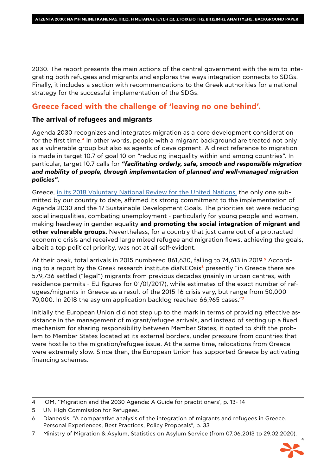2030. The report presents the main actions of the central government with the aim to integrating both refugees and migrants and explores the ways integration connects to SDGs. Finally, it includes a section with recommendations to the Greek authorities for a national strategy for the successful implementation of the SDGs.

## **Greece faced with the challenge of 'leaving no one behind'.**

### **The arrival of refugees and migrants**

Agenda 2030 recognizes and integrates migration as a core development consideration for the first time.**4** In other words, people with a migrant background are treated not only as a vulnerable group but also as agents of development. A direct reference to migration is made in target 10.7 of goal 10 on "reducing inequality within and among countries". In particular, target 10.7 calls for *"facilitating orderly, safe, smooth and responsible migration and mobility of people, through implementation of planned and well-managed migration policies".*

Greece, [in its 2018 Voluntary National Review for the United Nations,](file:https://sustainabledevelopment.un.org/content/documents/19378Greece_VNR_Greece_2018_pdf_FINAL_140618.pdf) the only one submitted by our country to date, affirmed its strong commitment to the implementation of Agenda 2030 and the 17 Sustainable Development Goals. The priorities set were reducing social inequalities, combating unemployment - particularly for young people and women, making headway in gender equality **and promoting the social integration of migrant and other vulnerable groups.** Nevertheless, for a country that just came out of a protracted economic crisis and received large mixed refugee and migration flows, achieving the goals, albeit a top political priority, was not at all self-evident.

At their peak, total arrivals in 2015 numbered 861,630, falling to 74,613 in 2019.**5** According to a report by the Greek research institute diaNEOsis**6** presently "in Greece there are 579,736 settled ("legal") migrants from previous decades (mainly in urban centres, with residence permits - EU figures for 01/01/2017), while estimates of the exact number of refugees/migrants in Greece as a result of the 2015-16 crisis vary, but range from 50,000- 70,000. In 2018 the asylum application backlog reached 66,965 cases."**<sup>7</sup>**

Initially the European Union did not step up to the mark in terms of providing effective assistance in the management of migrant/refugee arrivals, and instead of setting up a fixed mechanism for sharing responsibility between Member States, it opted to shift the problem to Member States located at its external borders, under pressure from countries that were hostile to the migration/refugee issue. At the same time, relocations from Greece were extremely slow. Since then, the European Union has supported Greece by activating financing schemes.

<sup>7</sup> Ministry of Migration & Asylum, Statistics on Asylum Service (from 07.06.2013 to 29.02.2020).



<sup>4</sup> IOM, ''Migration and the 2030 Agenda: A Guide for practitioners', p. 13- 14

<sup>5</sup> UN High Commission for Refugees.

<sup>6</sup> Dianeosis, "A comparative analysis of the integration of migrants and refugees in Greece. Personal Experiences, Best Practices, Policy Proposals", p. 33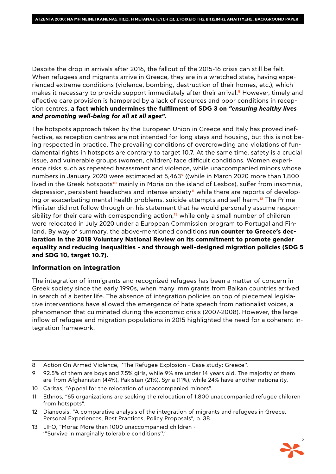Despite the drop in arrivals after 2016, the fallout of the 2015-16 crisis can still be felt. When refugees and migrants arrive in Greece, they are in a wretched state, having experienced extreme conditions (violence, bombing, destruction of their homes, etc.), which makes it necessary to provide support immediately after their arrival.**8** However, timely and effective care provision is hampered by a lack of resources and poor conditions in reception centres, **a fact which undermines the fulfilment of SDG 3 on** *"ensuring healthy lives and promoting well-being for all at all ages".* 

The hotspots approach taken by the European Union in Greece and Italy has proved ineffective, as reception centres are not intended for long stays and housing, but this is not being respected in practice. The prevailing conditions of overcrowding and violations of fundamental rights in hotspots are contrary to target 10.7. At the same time, safety is a crucial issue, and vulnerable groups (women, children) face difficult conditions. Women experience risks such as repeated harassment and violence, while unaccompanied minors whose numbers in January 2020 were estimated at 5,463**9** ((while in March 2020 more than 1,800 lived in the Greek hotspots**10** mainly in Moria on the island of Lesbos), suffer from insomnia, depression, persistent headaches and intense anxiety**11** while there are reports of developing or exacerbating mental health problems, suicide attempts and self-harm.**12** The Prime Minister did not follow through on his statement that he would personally assume responsibility for their care with corresponding action,**13** while only a small number of children were relocated in July 2020 under a European Commission program to Portugal and Finland. By way of summary, the above-mentioned conditions **run counter to Greece's declaration in the 2018 Voluntary National Review on its commitment to promote gender equality and reducing inequalities - and through well-designed migration policies (SDG 5 and SDG 10, target 10.7).**

### **Information on integration**

The integration of immigrants and recognized refugees has been a matter of concern in Greek society since the early 1990s, when many immigrants from Balkan countries arrived in search of a better life. The absence of integration policies on top of piecemeal legislative interventions have allowed the emergence of hate speech from nationalist voices, a phenomenon that culminated during the economic crisis (2007-2008). However, the large inflow of refugee and migration populations in 2015 highlighted the need for a coherent integration framework.

- 10 Caritas, "Appeal for the relocation of unaccompanied minors".
- 11 Ethnos, "65 organizations are seeking the relocation of 1,800 unaccompanied refugee children from hotspots".
- 12 Dianeosis, "A comparative analysis of the integration of migrants and refugees in Greece. Personal Experiences, Best Practices, Policy Proposals", p. 38.
- 13 LIFO, "Moria: More than 1000 unaccompanied children '"Survive in marginally tolerable conditions''.'



<sup>8</sup> Action On Armed Violence, ''The Refugee Explosion - Case study: Greece''.

<sup>9</sup> 92.5% of them are boys and 7.5% girls, while 9% are under 14 years old. The majority of them are from Afghanistan (44%), Pakistan (21%), Syria (11%), while 24% have another nationality.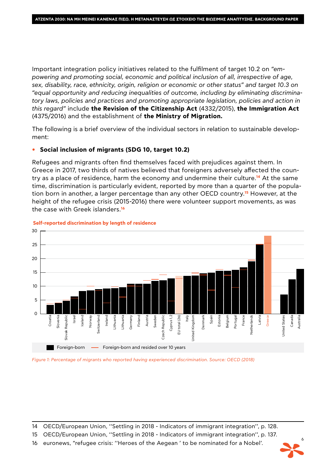Important integration policy initiatives related to the fulfilment of target 10.2 on *"empowering and promoting social, economic and political inclusion of all, irrespective of age, sex, disability, race, ethnicity, origin, religion or economic or other status" and target 10.3 on "equal opportunity and reducing inequalities of outcome, including by eliminating discriminatory laws, policies and practices and promoting appropriate legislation, policies and action in this regard"* include **the Revision of the Citizenship Act** (4332/2015), **the Immigration Act** (4375/2016) and the establishment of **the Ministry of Migration.**

The following is a brief overview of the individual sectors in relation to sustainable development:

#### **• Social inclusion of migrants (SDG 10, target 10.2)**

Refugees and migrants often find themselves faced with prejudices against them. In Greece in 2017, two thirds of natives believed that foreigners adversely affected the country as a place of residence, harm the economy and undermine their culture.**14** At the same time, discrimination is particularly evident, reported by more than a quarter of the population born in another, a larger percentage than any other OECD country.**15** However, at the height of the refugee crisis (2015-2016) there were volunteer support movements, as was the case with Greek islanders.**<sup>16</sup>**



#### **Self-reported discrimination by length of residence**

*Figure 1: Percentage of migrants who reported having experienced discrimination. Source: OECD (2018)*

14 OECD/European Union, ''Settling in 2018 - Indicators of immigrant integration'', p. 128.

15 OECD/European Union, ''Settling in 2018 - Indicators of immigrant integration'', p. 137.

16 euronews, "refugee crisis: ''Heroes of the Aegean ' to be nominated for a Nobel'.

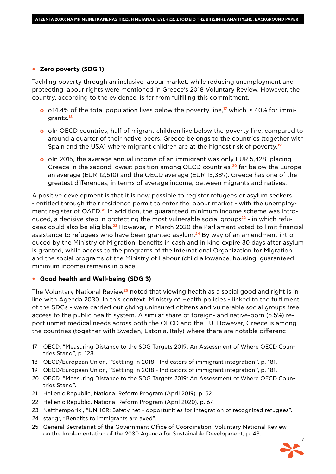#### **• Zero poverty (SDG 1)**

Tackling poverty through an inclusive labour market, while reducing unemployment and protecting labour rights were mentioned in Greece's 2018 Voluntary Review. However, the country, according to the evidence, is far from fulfilling this commitment.

- **o** o14.4% of the total population lives below the poverty line,**17** which is 40% for immigrants.**<sup>18</sup>**
- **o** oIn OECD countries, half of migrant children live below the poverty line, compared to around a quarter of their native peers. Greece belongs to the countries (together with Spain and the USA) where migrant children are at the highest risk of poverty.**<sup>19</sup>**
- **o** oln 2015, the average annual income of an immigrant was only EUR 5,428, placing Greece in the second lowest position among OECD countries,**20** far below the European average (EUR 12,510) and the OECD average (EUR 15,389). Greece has one of the greatest differences, in terms of average income, between migrants and natives.

A positive development is that it is now possible to register refugees or asylum seekers - entitled through their residence permit to enter the labour market - with the unemployment register of OAED.**21** In addition, the guaranteed minimum income scheme was introduced, a decisive step in protecting the most vulnerable social groups**22** - in which refugees could also be eligible.**23** However, in March 2020 the Parliament voted to limit financial assistance to refugees who have been granted asylum.**24** By way of an amendment introduced by the Ministry of Migration, benefits in cash and in kind expire 30 days after asylum is granted, while access to the programs of the International Organization for Migration and the social programs of the Ministry of Labour (child allowance, housing, guaranteed minimum income) remains in place.

#### **• Good health and Well-being (SDG 3)**

The Voluntary National Review**25** noted that viewing health as a social good and right is in line with Agenda 2030. In this context, Ministry of Health policies - linked to the fulfilment of the SDGs - were carried out giving uninsured citizens and vulnerable social groups free access to the public health system. A similar share of foreign- and native-born (5.5%) report unmet medical needs across both the OECD and the EU. However, Greece is among the countries (together with Sweden, Estonia, Italy) where there are notable differenc-

- 17 OECD, "Measuring Distance to the SDG Targets 2019: An Assessment of Where OECD Countries Stand", p. 128.
- 18 OECD/European Union, ''Settling in 2018 Indicators of immigrant integration'', p. 181.
- 19 OECD/European Union, ''Settling in 2018 Indicators of immigrant integration'', p. 181.
- 20 OECD, "Measuring Distance to the SDG Targets 2019: An Assessment of Where OECD Countries Stand".
- 21 Hellenic Republic, National Reform Program (April 2019), p. 52.
- 22 Hellenic Republic, National Reform Program (April 2020), p. 67.
- 23 Nafthemporiki, "UNHCR: Safety net opportunities for integration of recognized refugees".
- 24 star.gr, "Benefits to immigrants are axed".
- 25 General Secretariat of the Government Office of Coordination, Voluntary National Review on the Implementation of the 2030 Agenda for Sustainable Development, p. 43.

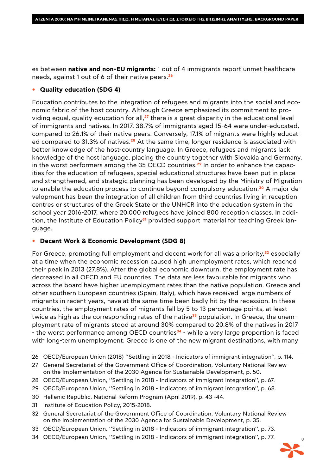es between **native and non-EU migrants:** 1 out of 4 immigrants report unmet healthcare needs, against 1 out of 6 of their native peers.**<sup>26</sup>**

#### **• Quality education (SDG 4)**

Education contributes to the integration of refugees and migrants into the social and economic fabric of the host country. Although Greece emphasized its commitment to providing equal, quality education for all,**27** there is a great disparity in the educational level of immigrants and natives. In 2017, 38.7% of immigrants aged 15-64 were under-educated, compared to 26.1% of their native peers. Conversely, 17.1% of migrants were highly educated compared to 31.3% of natives.**28** At the same time, longer residence is associated with better knowledge of the host-country language. In Greece, refugees and migrants lack knowledge of the host language, placing the country together with Slovakia and Germany, in the worst performers among the 35 OECD countries.**29** In order to enhance the capacities for the education of refugees, special educational structures have been put in place and strengthened, and strategic planning has been developed by the Ministry of Migration to enable the education process to continue beyond compulsory education.**30** A major development has been the integration of all children from third countries living in reception centres or structures of the Greek State or the UNHCR into the education system in the school year 2016-2017, where 20.000 refugees have joined 800 reception classes. In addition, the Institute of Education Policy**31** provided support material for teaching Greek language.

#### **• Decent Work & Economic Development (SDG 8)**

For Greece, promoting full employment and decent work for all was a priority,**32** especially at a time when the economic recession caused high unemployment rates, which reached their peak in 2013 (27.8%). After the global economic downturn, the employment rate has decreased in all OECD and EU countries. The data are less favourable for migrants who across the board have higher unemployment rates than the native population. Greece and other southern European countries (Spain, Italy), which have received large numbers of migrants in recent years, have at the same time been badly hit by the recession. In these countries, the employment rates of migrants fell by 5 to 13 percentage points, at least twice as high as the corresponding rates of the native<sup>33</sup> population. In Greece, the unemployment rate of migrants stood at around 30% compared to 20.8% of the natives in 2017 - the worst performance among OECD countries**34** - while a very large proportion is faced with long-term unemployment. Greece is one of the new migrant destinations, with many

- 29 OECD/European Union, ''Settling in 2018 Indicators of immigrant integration'', p. 68.
- 30 Hellenic Republic, National Reform Program (April 2019), p. 43 -44.
- 31 Institute of Education Policy, 2015-2018.
- 32 General Secretariat of the Government Office of Coordination, Voluntary National Review on the Implementation of the 2030 Agenda for Sustainable Development, p. 35.
- 33 OECD/European Union, ''Settling in 2018 Indicators of immigrant integration'', p. 73.
- 34 OECD/European Union, ''Settling in 2018 Indicators of immigrant integration'', p. 77.



<sup>26</sup> OECD/European Union (2018) ''Settling in 2018 - Indicators of immigrant integration'', p. 114.

<sup>27</sup> General Secretariat of the Government Office of Coordination, Voluntary National Review on the Implementation of the 2030 Agenda for Sustainable Development, p. 50.

<sup>28</sup> OECD/European Union, ''Settling in 2018 - Indicators of immigrant integration'', p. 67.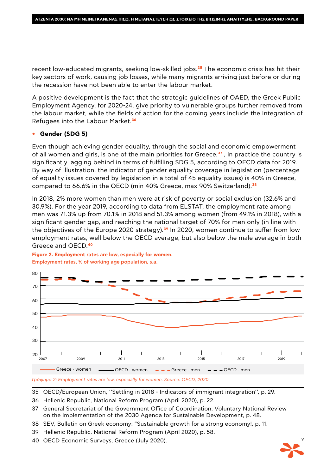recent low-educated migrants, seeking low-skilled jobs.**35** The economic crisis has hit their key sectors of work, causing job losses, while many migrants arriving just before or during the recession have not been able to enter the labour market.

A positive development is the fact that the strategic guidelines of OAED, the Greek Public Employment Agency, for 2020-24, give priority to vulnerable groups further removed from the labour market, while the fields of action for the coming years include the Integration of Refugees into the Labour Market.**<sup>36</sup>**

#### **• Gender (SDG 5)**

Even though achieving gender equality, through the social and economic empowerment of all women and girls, is one of the main priorities for Greece,**37** , in practice the country is significantly lagging behind in terms of fulfilling SDG 5, according to OECD data for 2019. By way of illustration, the indicator of gender equality coverage in legislation (percentage of equality issues covered by legislation in a total of 45 equality issues) is 40% in Greece, compared to 66.6% in the OECD (min 40% Greece, max 90% Switzerland).**<sup>38</sup>**

In 2018, 2% more women than men were at risk of poverty or social exclusion (32.6% and 30.9%). For the year 2019, according to data from ELSTAT, the employment rate among men was 71.3% up from 70.1% in 2018 and 51.3% among women (from 49.1% in 2018), with a significant gender gap, and reaching the national target of 70% for men only (in line with the objectives of the Europe 2020 strategy).**39** In 2020, women continue to suffer from low employment rates, well below the OECD average, but also below the male average in both Greece and OECD.**<sup>40</sup>**



**Figure 2. Employment rates are low, especially for women.** Employment rates, % of working age population, s.a.



35 OECD/European Union, ''Settling in 2018 - Indicators of immigrant integration'', p. 29.

- 36 Hellenic Republic, National Reform Program (April 2020), p. 22.
- 37 General Secretariat of the Government Office of Coordination, Voluntary National Review on the Implementation of the 2030 Agenda for Sustainable Development, p. 48.
- 38 SEV, Bulletin on Greek economy: "Sustainable growth for a strong economy!, p. 11.
- 39 Hellenic Republic, National Reform Program (April 2020), p. 58.
- 40 OECD Economic Surveys, Greece (July 2020).

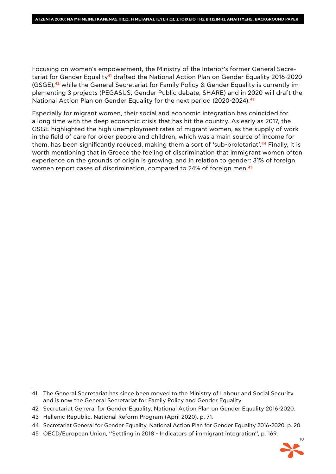Focusing on women's empowerment, the Ministry of the Interior's former General Secretariat for Gender Equality**41** drafted the National Action Plan on Gender Equality 2016-2020 (GSGE),**42** while the General Secretariat for Family Policy & Gender Equality is currently implementing 3 projects (PEGASUS, Gender Public debate, SHARE) and in 2020 will draft the National Action Plan on Gender Equality for the next period (2020-2024).**<sup>43</sup>**

Especially for migrant women, their social and economic integration has coincided for a long time with the deep economic crisis that has hit the country. As early as 2017, the GSGE highlighted the high unemployment rates of migrant women, as the supply of work in the field of care for older people and children, which was a main source of income for them, has been significantly reduced, making them a sort of 'sub-proletariat'.**44** Finally, it is worth mentioning that in Greece the feeling of discrimination that immigrant women often experience on the grounds of origin is growing, and in relation to gender: 31% of foreign women report cases of discrimination, compared to 24% of foreign men.**<sup>45</sup>**

<sup>45</sup> OECD/European Union, ''Settling in 2018 - Indicators of immigrant integration'', p. 169.



<sup>41</sup> The General Secretariat has since been moved to the Ministry of Labour and Social Security and is now the General Secretariat for Family Policy and Gender Equality.

<sup>42</sup> Secretariat General for Gender Equality, National Action Plan on Gender Equality 2016-2020.

<sup>43</sup> Hellenic Republic, National Reform Program (April 2020), p. 71.

<sup>44</sup> Secretariat General for Gender Equality, National Action Plan for Gender Equality 2016-2020, p. 20.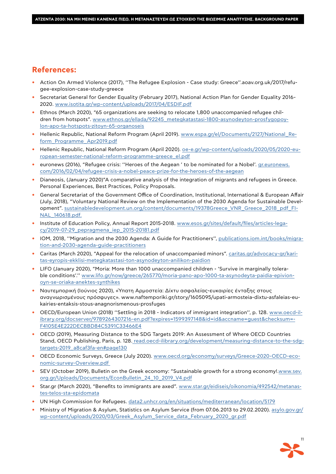## **References:**

- **•** Action On Armed Violence (2017), ''The Refugee Explosion Case study: Greece''.aoav.org.uk/2017/refugee-explosion-case-study-greece
- **•** Secretariat General for Gender Equality (February 2017), National Action Plan for Gender Equality 2016- 2020. www.isotita.gr/wp-content/uploads/2017/04/ESDIF.pdf
- **•** Ethnos (March 2020), "65 organizations are seeking to relocate 1,800 unaccompanied refugee children from hotspots". www.ethnos.gr/ellada/92245\_metegkatastasi-1800-asynodeyton-prosfygopoylon-apo-ta-hotspots-zitoyn-65-organoseis
- **•** Hellenic Republic, National Reform Program (April 2019). www.espa.gr/el/Documents/2127/National\_Reform\_Programme\_Apr2019.pdf
- Hellenic Republic, National Reform Program (April 2020). oe-e.gr/wp-content/uploads/2020/05/2020-european-semester-national-reform-programme-greece\_el.pdf
- **•** euronews (2016), "Refugee crisis: ''Heroes of the Aegean ' to be nominated for a Nobel'. gr.euronews. com/2016/02/04/refugee-crisis-a-nobel-peace-prize-for-the-heroes-of-the-aegean
- **•** Dianeosis, (January 2020)"A comparative analysis of the integration of migrants and refugees in Greece. Personal Experiences, Best Practices, Policy Proposals.
- **•** General Secretariat of the Government Office of Coordination, Institutional, International & European Affair (July, 2018), "Voluntary National Review on the Implementation of the 2030 Agenda for Sustainable Development". sustainabledevelopment.un.org/content/documents/19378Greece\_VNR\_Greece\_2018\_pdf\_FI-NAL\_140618.pdf.
- **•** Institute of Education Policy, Annual Report 2015-2018. www.esos.gr/sites/default/files/articles-legacy/2019-07-29\_pepragmena\_iep\_2015-20181.pdf
- **•** ΙΟΜ, 2018, ''Migration and the 2030 Agenda: A Guide for Practitioners'', publications.iom.int/books/migration-and-2030-agenda-guide-practitioners
- **•** Caritas (March 2020), "Appeal for the relocation of unaccompanied minors". caritas.gr/advocacy-gr/karitas-eyropis-ekklisi-metegkatastasi-ton-asynodeyton-anilikon-paidion
- **•** LIFO (January 2020), "Moria: More than 1000 unaccompanied children 'Survive in marginally tolerable conditions'.'' www.lifo.gr/now/greece/265770/moria-pano-apo-1000-ta-asynodeyta-paidia-epivionoyn-se-oriaka-anektes-synthikes
- **•** Ναυτεμπορική (Ιούνιος 2020), «Ύπατη Αρμοστεία: Δίχτυ ασφαλείας-ευκαιρίες ένταξης στους αναγνωρισμένους πρόσφυγες». www.naftemporiki.gr/story/1605095/upati-armosteia-dixtu-asfaleias-eukairies-entaksis-stous-anagnorismenous-prosfuges
- **•** OECD/European Union (2018) ''Settling in 2018 Indicators of immigrant integration'', p. 128. www.oecd-ilibrary.org/docserver/9789264307216-en.pdf?expires=1599397148&id=id&accname=guest&checksum=- F4105E4E222DECBBD84C5391C33466E4
- **•** OECD (2019), Measuring Distance to the SDG Targets 2019: An Assessment of Where OECD Countries Stand, OECD Publishing, Paris, p. 128. read.oecd-ilibrary.org/development/measuring-distance-to-the-sdgtargets-2019\_a8caf3fa-en#page130
- **•** OECD Economic Surveys, Greece (July 2020). www.oecd.org/economy/surveys/Greece-2020-OECD-economic-survey-Overview.pdf
- **•** SEV (October 2019), Bulletin on the Greek economy: "Sustainable growth for a strong economy!.www.sev. org.gr/Uploads/Documents/EconBulletin\_24\_10\_2019\_V4.pdf
- **•** Star.gr (March 2020), "Benefits to immigrants are axed". www.star.gr/eidiseis/oikonomia/492542/metanastes-telos-sta-epidomata
- **•** UN High Commission for Refugees. data2.unhcr.org/en/situations/mediterranean/location/5179
- **•** Ministry of Migration & Asylum, Statistics on Asylum Service (from 07.06.2013 to 29.02.2020). asylo.gov.gr/ wp-content/uploads/2020/03/Greek\_Asylum\_Service\_data\_February\_2020\_gr.pdf